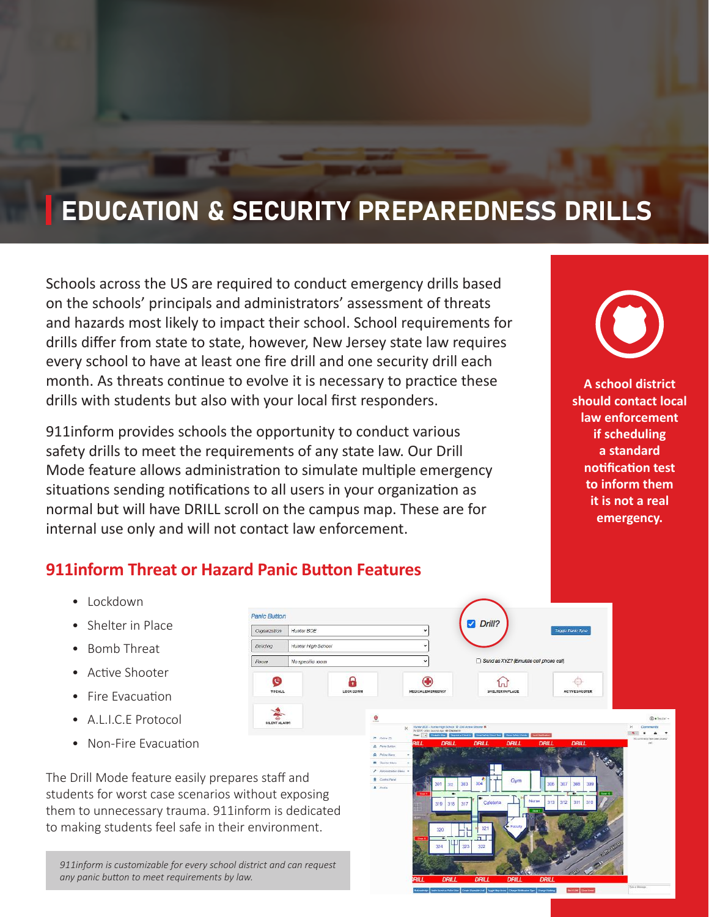# EDUCATION & SECURITY PREPAREDNESS DRILLS

Schools across the US are required to conduct emergency drills based on the schools' principals and administrators' assessment of threats and hazards most likely to impact their school. School requirements for drills differ from state to state, however, New Jersey state law requires every school to have at least one fire drill and one security drill each month. As threats continue to evolve it is necessary to practice these drills with students but also with your local first responders.

911inform provides schools the opportunity to conduct various safety drills to meet the requirements of any state law. Our Drill Mode feature allows administration to simulate multiple emergency situations sending notifications to all users in your organization as normal but will have DRILL scroll on the campus map. These are for internal use only and will not contact law enforcement.

**A school district should contact local law enforcement if scheduling a standard notification test to inform them it is not a real emergency.**

### **911inform Threat or Hazard Panic Button Features**

- Lockdown
- Shelter in Place
- Bomb Threat
- Active Shooter
- Fire Evacuation
- A.L.I.C.E Protocol
- Non-Fire Evacuation

The Drill Mode feature easily prepares staff and students for worst case scenarios without exposing them to unnecessary trauma. 911inform is dedicated to making students feel safe in their environment.

*911inform is customizable for every school district and can request any panic button to meet requirements by law.*